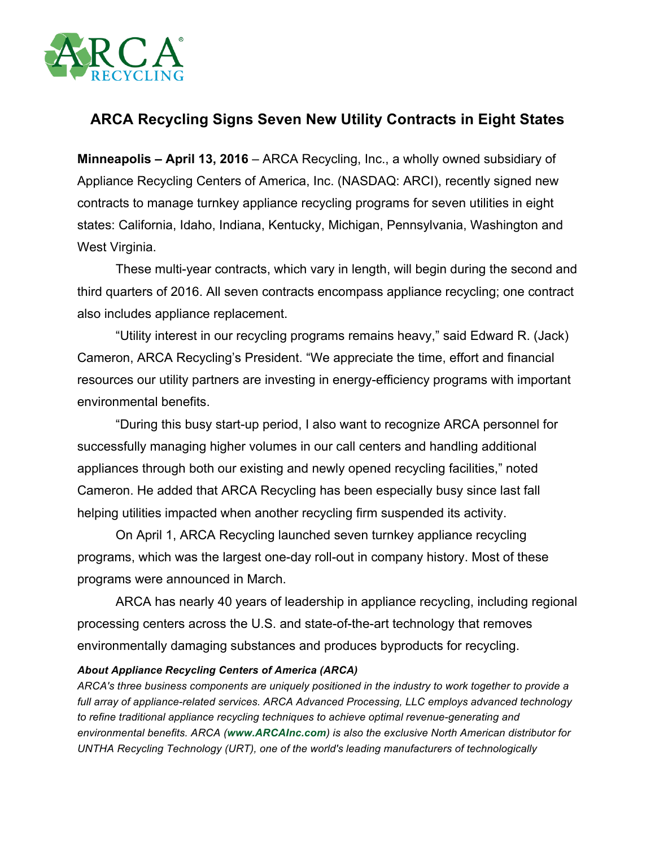

## **ARCA Recycling Signs Seven New Utility Contracts in Eight States**

**Minneapolis – April 13, 2016** – ARCA Recycling, Inc., a wholly owned subsidiary of Appliance Recycling Centers of America, Inc. (NASDAQ: ARCI), recently signed new contracts to manage turnkey appliance recycling programs for seven utilities in eight states: California, Idaho, Indiana, Kentucky, Michigan, Pennsylvania, Washington and West Virginia.

These multi-year contracts, which vary in length, will begin during the second and third quarters of 2016. All seven contracts encompass appliance recycling; one contract also includes appliance replacement.

"Utility interest in our recycling programs remains heavy," said Edward R. (Jack) Cameron, ARCA Recycling's President. "We appreciate the time, effort and financial resources our utility partners are investing in energy-efficiency programs with important environmental benefits.

"During this busy start-up period, I also want to recognize ARCA personnel for successfully managing higher volumes in our call centers and handling additional appliances through both our existing and newly opened recycling facilities," noted Cameron. He added that ARCA Recycling has been especially busy since last fall helping utilities impacted when another recycling firm suspended its activity.

On April 1, ARCA Recycling launched seven turnkey appliance recycling programs, which was the largest one-day roll-out in company history. Most of these programs were announced in March.

ARCA has nearly 40 years of leadership in appliance recycling, including regional processing centers across the U.S. and state-of-the-art technology that removes environmentally damaging substances and produces byproducts for recycling.

## *About Appliance Recycling Centers of America (ARCA)*

*ARCA's three business components are uniquely positioned in the industry to work together to provide a full array of appliance-related services. ARCA Advanced Processing, LLC employs advanced technology to refine traditional appliance recycling techniques to achieve optimal revenue-generating and environmental benefits. ARCA (www.ARCAInc.com) is also the exclusive North American distributor for UNTHA Recycling Technology (URT), one of the world's leading manufacturers of technologically*